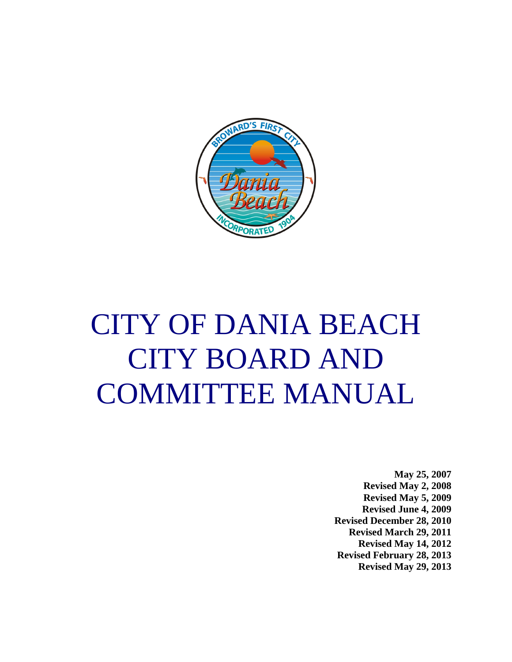

# CITY OF DANIA BEACH CITY BOARD AND COMMITTEE MANUAL

**May 25, 2007 Revised May 2, 2008 Revised May 5, 2009 Revised June 4, 2009 Revised December 28, 2010 Revised March 29, 2011 Revised May 14, 2012 Revised February 28, 2013 Revised May 29, 2013**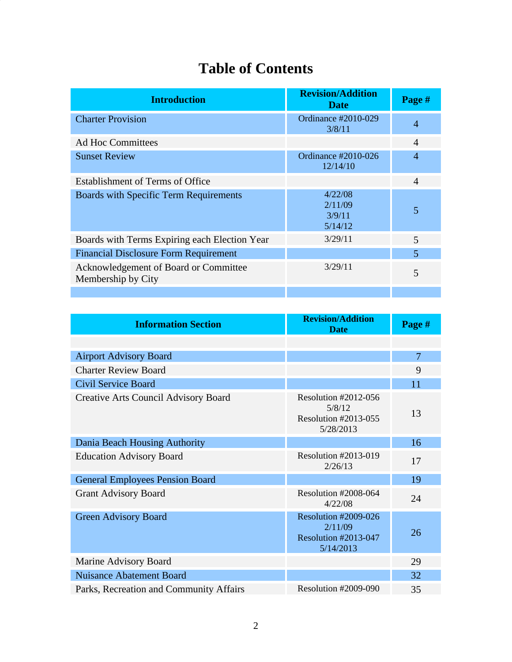## **Table of Contents**

| <b>Introduction</b>                                         | <b>Revision/Addition</b><br><b>Date</b> | Page #         |
|-------------------------------------------------------------|-----------------------------------------|----------------|
| <b>Charter Provision</b>                                    | Ordinance #2010-029<br>3/8/11           | $\overline{4}$ |
| <b>Ad Hoc Committees</b>                                    |                                         | $\overline{A}$ |
| <b>Sunset Review</b>                                        | Ordinance #2010-026<br>12/14/10         | $\overline{4}$ |
| Establishment of Terms of Office                            |                                         | $\overline{4}$ |
| <b>Boards with Specific Term Requirements</b>               | 4/22/08<br>2/11/09<br>3/9/11<br>5/14/12 | 5              |
| Boards with Terms Expiring each Election Year               | 3/29/11                                 | $\overline{5}$ |
| <b>Financial Disclosure Form Requirement</b>                |                                         | 5              |
| Acknowledgement of Board or Committee<br>Membership by City | 3/29/11                                 | 5              |
|                                                             |                                         |                |

| <b>Information Section</b>                  | <b>Revision/Addition</b><br><b>Date</b>                                           | Page #         |
|---------------------------------------------|-----------------------------------------------------------------------------------|----------------|
|                                             |                                                                                   |                |
| <b>Airport Advisory Board</b>               |                                                                                   | $\overline{7}$ |
| <b>Charter Review Board</b>                 |                                                                                   | 9              |
| <b>Civil Service Board</b>                  |                                                                                   | 11             |
| <b>Creative Arts Council Advisory Board</b> | <b>Resolution #2012-056</b><br>5/8/12<br><b>Resolution #2013-055</b><br>5/28/2013 | 13             |
| Dania Beach Housing Authority               |                                                                                   | 16             |
| <b>Education Advisory Board</b>             | <b>Resolution #2013-019</b><br>2/26/13                                            | 17             |
| <b>General Employees Pension Board</b>      |                                                                                   | 19             |
| <b>Grant Advisory Board</b>                 | Resolution #2008-064<br>4/22/08                                                   | 24             |
| <b>Green Advisory Board</b>                 | Resolution #2009-026<br>2/11/09<br>Resolution #2013-047<br>5/14/2013              | 26             |
| Marine Advisory Board                       |                                                                                   | 29             |
| <b>Nuisance Abatement Board</b>             |                                                                                   | 32             |
| Parks, Recreation and Community Affairs     | Resolution #2009-090                                                              | 35             |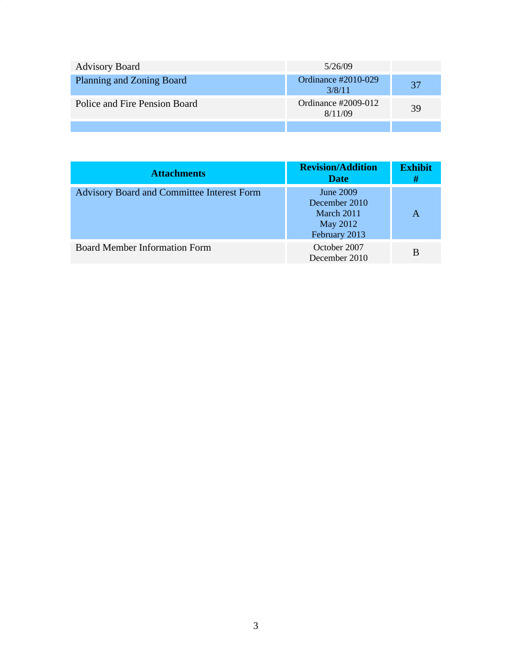| <b>Advisory Board</b>         | 5/26/09                           |    |
|-------------------------------|-----------------------------------|----|
| Planning and Zoning Board     | Ordinance $\#2010-029$<br>3/8/11  | 37 |
| Police and Fire Pension Board | Ordinance $\#2009-012$<br>8/11/09 | 39 |
|                               |                                   |    |

| <b>Attachments</b>                                | <b>Revision/Addition</b><br><b>Date</b>                                      | <b>Exhibit</b><br># |
|---------------------------------------------------|------------------------------------------------------------------------------|---------------------|
| <b>Advisory Board and Committee Interest Form</b> | <b>June 2009</b><br>December 2010<br>March 2011<br>May 2012<br>February 2013 | А                   |
| <b>Board Member Information Form</b>              | October 2007<br>December 2010                                                | B                   |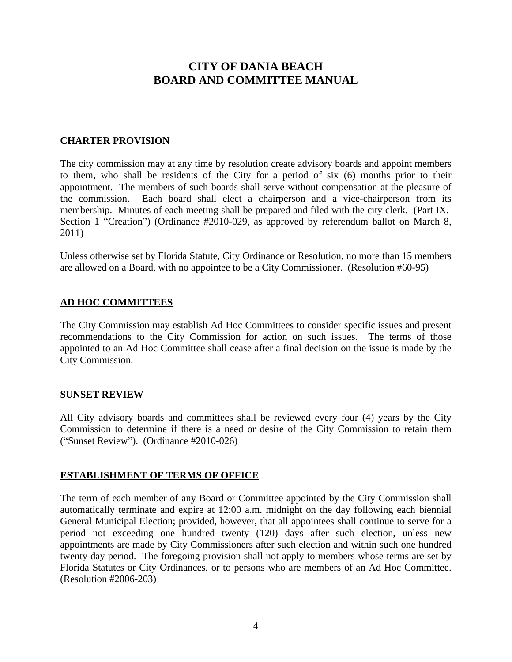## **CITY OF DANIA BEACH BOARD AND COMMITTEE MANUAL**

#### **CHARTER PROVISION**

The city commission may at any time by resolution create advisory boards and appoint members to them, who shall be residents of the City for a period of six (6) months prior to their appointment. The members of such boards shall serve without compensation at the pleasure of the commission. Each board shall elect a chairperson and a vice-chairperson from its membership. Minutes of each meeting shall be prepared and filed with the city clerk. (Part IX, Section 1 "Creation") (Ordinance #2010-029, as approved by referendum ballot on March 8, 2011)

Unless otherwise set by Florida Statute, City Ordinance or Resolution, no more than 15 members are allowed on a Board, with no appointee to be a City Commissioner. (Resolution #60-95)

#### **AD HOC COMMITTEES**

The City Commission may establish Ad Hoc Committees to consider specific issues and present recommendations to the City Commission for action on such issues. The terms of those appointed to an Ad Hoc Committee shall cease after a final decision on the issue is made by the City Commission.

#### **SUNSET REVIEW**

All City advisory boards and committees shall be reviewed every four (4) years by the City Commission to determine if there is a need or desire of the City Commission to retain them ("Sunset Review"). (Ordinance #2010-026)

#### **ESTABLISHMENT OF TERMS OF OFFICE**

The term of each member of any Board or Committee appointed by the City Commission shall automatically terminate and expire at 12:00 a.m. midnight on the day following each biennial General Municipal Election; provided, however, that all appointees shall continue to serve for a period not exceeding one hundred twenty (120) days after such election, unless new appointments are made by City Commissioners after such election and within such one hundred twenty day period. The foregoing provision shall not apply to members whose terms are set by Florida Statutes or City Ordinances, or to persons who are members of an Ad Hoc Committee. (Resolution #2006-203)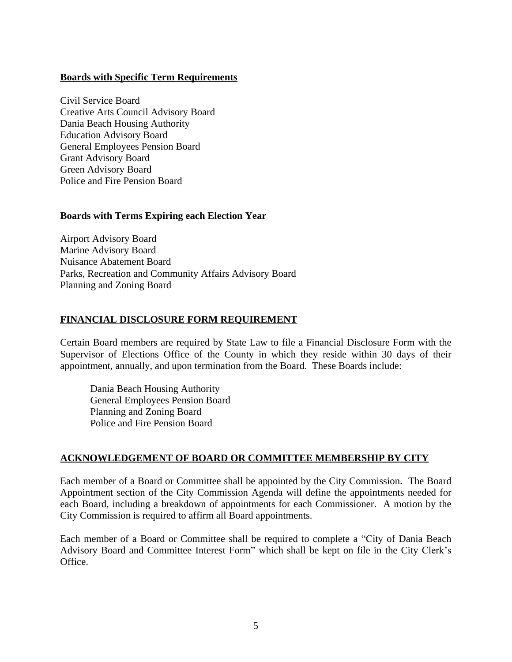#### **Boards with Specific Term Requirements**

Civil Service Board Creative Arts Council Advisory Board Dania Beach Housing Authority Education Advisory Board General Employees Pension Board Grant Advisory Board Green Advisory Board Police and Fire Pension Board

#### **Boards with Terms Expiring each Election Year**

Airport Advisory Board Marine Advisory Board Nuisance Abatement Board Parks, Recreation and Community Affairs Advisory Board Planning and Zoning Board

#### **FINANCIAL DISCLOSURE FORM REQUIREMENT**

Certain Board members are required by State Law to file a Financial Disclosure Form with the Supervisor of Elections Office of the County in which they reside within 30 days of their appointment, annually, and upon termination from the Board. These Boards include:

Dania Beach Housing Authority General Employees Pension Board Planning and Zoning Board Police and Fire Pension Board

#### **ACKNOWLEDGEMENT OF BOARD OR COMMITTEE MEMBERSHIP BY CITY**

Each member of a Board or Committee shall be appointed by the City Commission. The Board Appointment section of the City Commission Agenda will define the appointments needed for each Board, including a breakdown of appointments for each Commissioner. A motion by the City Commission is required to affirm all Board appointments.

Each member of a Board or Committee shall be required to complete a "City of Dania Beach Advisory Board and Committee Interest Form" which shall be kept on file in the City Clerk's Office.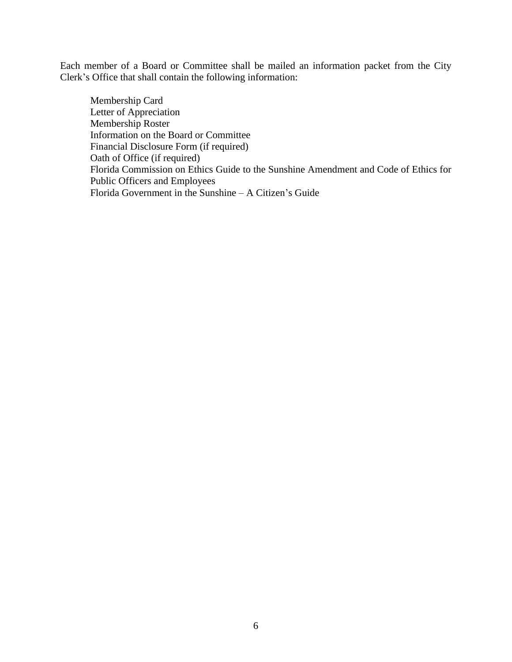Each member of a Board or Committee shall be mailed an information packet from the City Clerk's Office that shall contain the following information:

Membership Card Letter of Appreciation Membership Roster Information on the Board or Committee Financial Disclosure Form (if required) Oath of Office (if required) Florida Commission on Ethics Guide to the Sunshine Amendment and Code of Ethics for Public Officers and Employees Florida Government in the Sunshine – A Citizen's Guide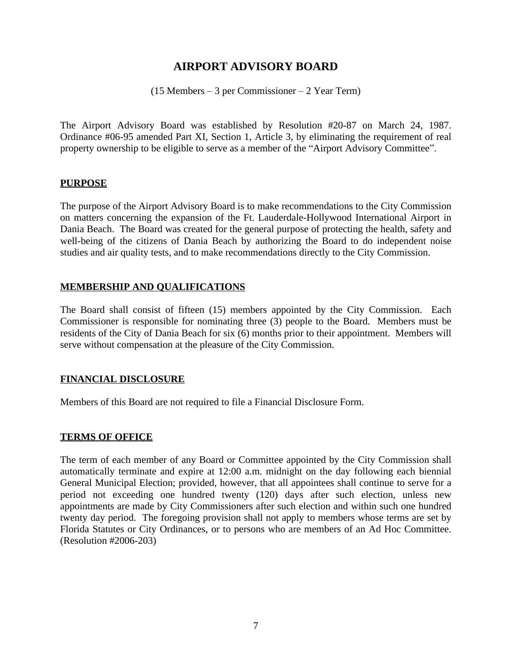## **AIRPORT ADVISORY BOARD**

(15 Members – 3 per Commissioner – 2 Year Term)

The Airport Advisory Board was established by Resolution #20-87 on March 24, 1987. Ordinance #06-95 amended Part XI, Section 1, Article 3, by eliminating the requirement of real property ownership to be eligible to serve as a member of the "Airport Advisory Committee".

#### **PURPOSE**

The purpose of the Airport Advisory Board is to make recommendations to the City Commission on matters concerning the expansion of the Ft. Lauderdale-Hollywood International Airport in Dania Beach. The Board was created for the general purpose of protecting the health, safety and well-being of the citizens of Dania Beach by authorizing the Board to do independent noise studies and air quality tests, and to make recommendations directly to the City Commission.

#### **MEMBERSHIP AND QUALIFICATIONS**

The Board shall consist of fifteen (15) members appointed by the City Commission. Each Commissioner is responsible for nominating three (3) people to the Board. Members must be residents of the City of Dania Beach for six (6) months prior to their appointment. Members will serve without compensation at the pleasure of the City Commission.

#### **FINANCIAL DISCLOSURE**

Members of this Board are not required to file a Financial Disclosure Form.

#### **TERMS OF OFFICE**

The term of each member of any Board or Committee appointed by the City Commission shall automatically terminate and expire at 12:00 a.m. midnight on the day following each biennial General Municipal Election; provided, however, that all appointees shall continue to serve for a period not exceeding one hundred twenty (120) days after such election, unless new appointments are made by City Commissioners after such election and within such one hundred twenty day period. The foregoing provision shall not apply to members whose terms are set by Florida Statutes or City Ordinances, or to persons who are members of an Ad Hoc Committee. (Resolution #2006-203)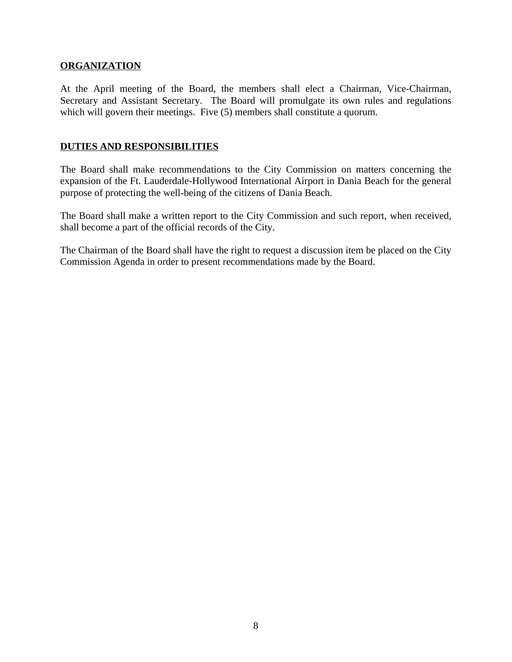#### **ORGANIZATION**

At the April meeting of the Board, the members shall elect a Chairman, Vice-Chairman, Secretary and Assistant Secretary. The Board will promulgate its own rules and regulations which will govern their meetings. Five (5) members shall constitute a quorum.

#### **DUTIES AND RESPONSIBILITIES**

The Board shall make recommendations to the City Commission on matters concerning the expansion of the Ft. Lauderdale-Hollywood International Airport in Dania Beach for the general purpose of protecting the well-being of the citizens of Dania Beach.

The Board shall make a written report to the City Commission and such report, when received, shall become a part of the official records of the City.

The Chairman of the Board shall have the right to request a discussion item be placed on the City Commission Agenda in order to present recommendations made by the Board.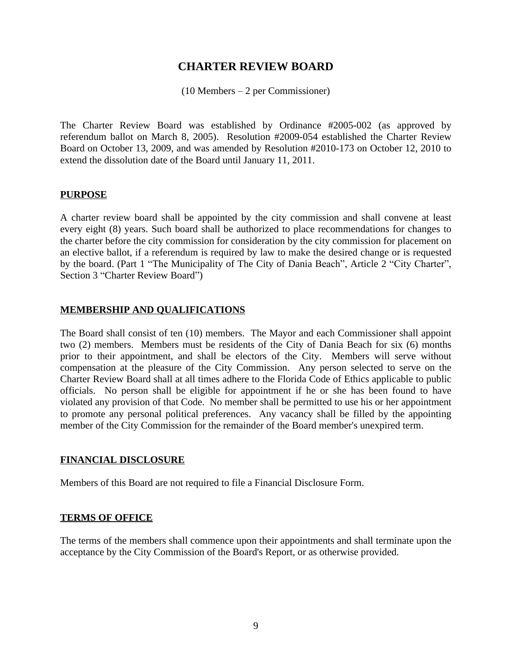## **CHARTER REVIEW BOARD**

(10 Members – 2 per Commissioner)

The Charter Review Board was established by Ordinance #2005-002 (as approved by referendum ballot on March 8, 2005). Resolution #2009-054 established the Charter Review Board on October 13, 2009, and was amended by Resolution #2010-173 on October 12, 2010 to extend the dissolution date of the Board until January 11, 2011.

#### **PURPOSE**

A charter review board shall be appointed by the city commission and shall convene at least every eight (8) years. Such board shall be authorized to place recommendations for changes to the charter before the city commission for consideration by the city commission for placement on an elective ballot, if a referendum is required by law to make the desired change or is requested by the board. (Part 1 "The Municipality of The City of Dania Beach", Article 2 "City Charter", Section 3 "Charter Review Board")

#### **MEMBERSHIP AND QUALIFICATIONS**

The Board shall consist of ten (10) members. The Mayor and each Commissioner shall appoint two (2) members. Members must be residents of the City of Dania Beach for six (6) months prior to their appointment, and shall be electors of the City. Members will serve without compensation at the pleasure of the City Commission. Any person selected to serve on the Charter Review Board shall at all times adhere to the Florida Code of Ethics applicable to public officials. No person shall be eligible for appointment if he or she has been found to have violated any provision of that Code. No member shall be permitted to use his or her appointment to promote any personal political preferences. Any vacancy shall be filled by the appointing member of the City Commission for the remainder of the Board member's unexpired term.

#### **FINANCIAL DISCLOSURE**

Members of this Board are not required to file a Financial Disclosure Form.

#### **TERMS OF OFFICE**

The terms of the members shall commence upon their appointments and shall terminate upon the acceptance by the City Commission of the Board's Report, or as otherwise provided.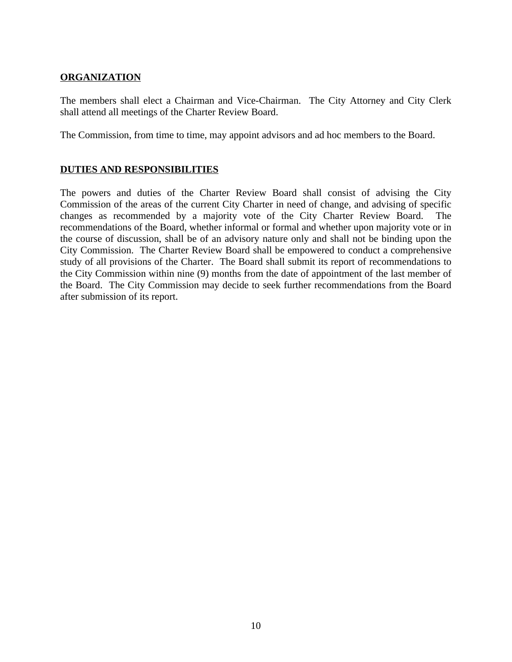#### **ORGANIZATION**

The members shall elect a Chairman and Vice-Chairman. The City Attorney and City Clerk shall attend all meetings of the Charter Review Board.

The Commission, from time to time, may appoint advisors and ad hoc members to the Board.

#### **DUTIES AND RESPONSIBILITIES**

The powers and duties of the Charter Review Board shall consist of advising the City Commission of the areas of the current City Charter in need of change, and advising of specific changes as recommended by a majority vote of the City Charter Review Board. The recommendations of the Board, whether informal or formal and whether upon majority vote or in the course of discussion, shall be of an advisory nature only and shall not be binding upon the City Commission. The Charter Review Board shall be empowered to conduct a comprehensive study of all provisions of the Charter. The Board shall submit its report of recommendations to the City Commission within nine (9) months from the date of appointment of the last member of the Board. The City Commission may decide to seek further recommendations from the Board after submission of its report.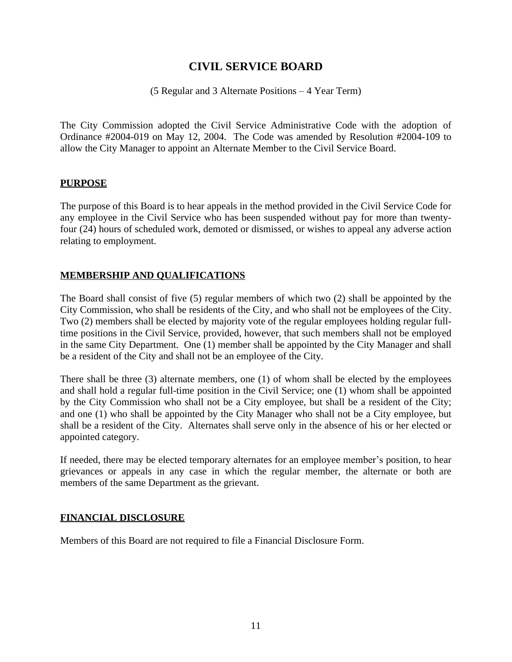## **CIVIL SERVICE BOARD**

(5 Regular and 3 Alternate Positions – 4 Year Term)

The City Commission adopted the Civil Service Administrative Code with the adoption of Ordinance #2004-019 on May 12, 2004. The Code was amended by Resolution #2004-109 to allow the City Manager to appoint an Alternate Member to the Civil Service Board.

#### **PURPOSE**

The purpose of this Board is to hear appeals in the method provided in the Civil Service Code for any employee in the Civil Service who has been suspended without pay for more than twentyfour (24) hours of scheduled work, demoted or dismissed, or wishes to appeal any adverse action relating to employment.

#### **MEMBERSHIP AND QUALIFICATIONS**

The Board shall consist of five (5) regular members of which two (2) shall be appointed by the City Commission, who shall be residents of the City, and who shall not be employees of the City. Two (2) members shall be elected by majority vote of the regular employees holding regular fulltime positions in the Civil Service, provided, however, that such members shall not be employed in the same City Department. One (1) member shall be appointed by the City Manager and shall be a resident of the City and shall not be an employee of the City.

There shall be three (3) alternate members, one (1) of whom shall be elected by the employees and shall hold a regular full-time position in the Civil Service; one (1) whom shall be appointed by the City Commission who shall not be a City employee, but shall be a resident of the City; and one (1) who shall be appointed by the City Manager who shall not be a City employee, but shall be a resident of the City. Alternates shall serve only in the absence of his or her elected or appointed category.

If needed, there may be elected temporary alternates for an employee member's position, to hear grievances or appeals in any case in which the regular member, the alternate or both are members of the same Department as the grievant.

#### **FINANCIAL DISCLOSURE**

Members of this Board are not required to file a Financial Disclosure Form.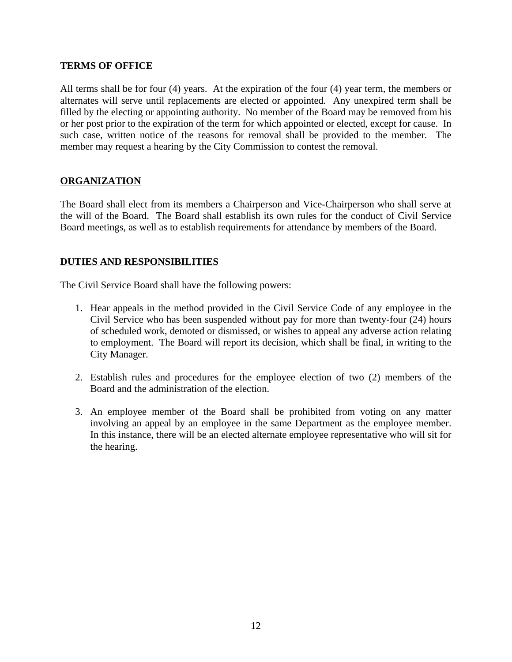#### **TERMS OF OFFICE**

All terms shall be for four (4) years. At the expiration of the four (4) year term, the members or alternates will serve until replacements are elected or appointed. Any unexpired term shall be filled by the electing or appointing authority. No member of the Board may be removed from his or her post prior to the expiration of the term for which appointed or elected, except for cause. In such case, written notice of the reasons for removal shall be provided to the member. The member may request a hearing by the City Commission to contest the removal.

#### **ORGANIZATION**

The Board shall elect from its members a Chairperson and Vice-Chairperson who shall serve at the will of the Board. The Board shall establish its own rules for the conduct of Civil Service Board meetings, as well as to establish requirements for attendance by members of the Board.

#### **DUTIES AND RESPONSIBILITIES**

The Civil Service Board shall have the following powers:

- 1. Hear appeals in the method provided in the Civil Service Code of any employee in the Civil Service who has been suspended without pay for more than twenty-four (24) hours of scheduled work, demoted or dismissed, or wishes to appeal any adverse action relating to employment. The Board will report its decision, which shall be final, in writing to the City Manager.
- 2. Establish rules and procedures for the employee election of two (2) members of the Board and the administration of the election.
- 3. An employee member of the Board shall be prohibited from voting on any matter involving an appeal by an employee in the same Department as the employee member. In this instance, there will be an elected alternate employee representative who will sit for the hearing.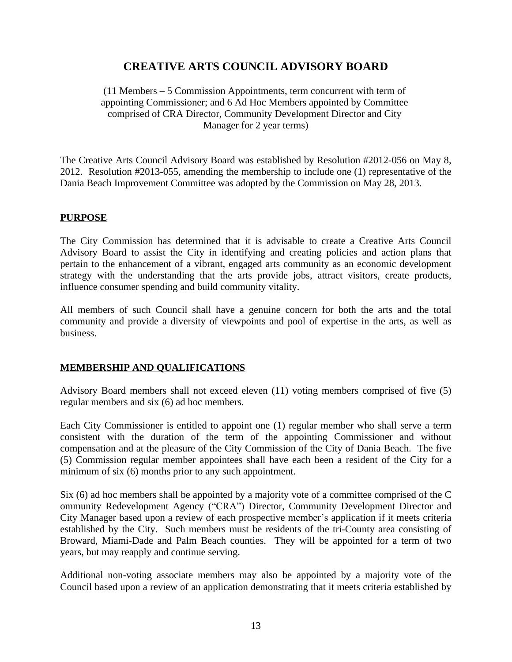## **CREATIVE ARTS COUNCIL ADVISORY BOARD**

(11 Members – 5 Commission Appointments, term concurrent with term of appointing Commissioner; and 6 Ad Hoc Members appointed by Committee comprised of CRA Director, Community Development Director and City Manager for 2 year terms)

The Creative Arts Council Advisory Board was established by Resolution #2012-056 on May 8, 2012. Resolution #2013-055, amending the membership to include one (1) representative of the Dania Beach Improvement Committee was adopted by the Commission on May 28, 2013.

#### **PURPOSE**

The City Commission has determined that it is advisable to create a Creative Arts Council Advisory Board to assist the City in identifying and creating policies and action plans that pertain to the enhancement of a vibrant, engaged arts community as an economic development strategy with the understanding that the arts provide jobs, attract visitors, create products, influence consumer spending and build community vitality.

All members of such Council shall have a genuine concern for both the arts and the total community and provide a diversity of viewpoints and pool of expertise in the arts, as well as business.

#### **MEMBERSHIP AND QUALIFICATIONS**

Advisory Board members shall not exceed eleven (11) voting members comprised of five (5) regular members and six (6) ad hoc members.

Each City Commissioner is entitled to appoint one (1) regular member who shall serve a term consistent with the duration of the term of the appointing Commissioner and without compensation and at the pleasure of the City Commission of the City of Dania Beach. The five (5) Commission regular member appointees shall have each been a resident of the City for a minimum of six (6) months prior to any such appointment.

Six (6) ad hoc members shall be appointed by a majority vote of a committee comprised of the C ommunity Redevelopment Agency ("CRA") Director, Community Development Director and City Manager based upon a review of each prospective member's application if it meets criteria established by the City. Such members must be residents of the tri-County area consisting of Broward, Miami-Dade and Palm Beach counties. They will be appointed for a term of two years, but may reapply and continue serving.

Additional non-voting associate members may also be appointed by a majority vote of the Council based upon a review of an application demonstrating that it meets criteria established by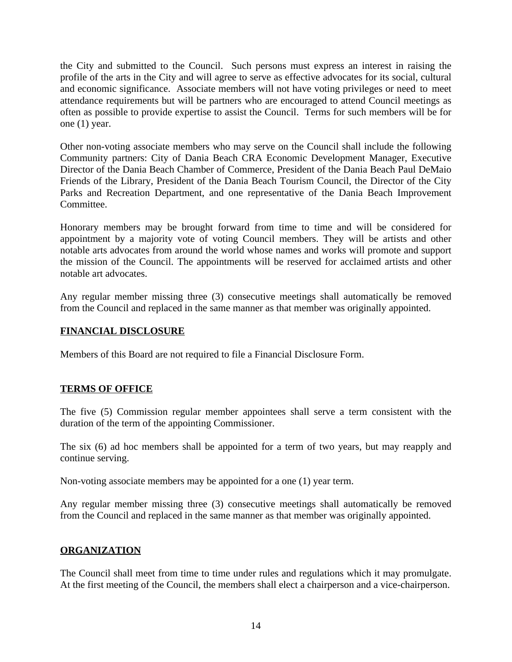the City and submitted to the Council. Such persons must express an interest in raising the profile of the arts in the City and will agree to serve as effective advocates for its social, cultural and economic significance. Associate members will not have voting privileges or need to meet attendance requirements but will be partners who are encouraged to attend Council meetings as often as possible to provide expertise to assist the Council. Terms for such members will be for one (1) year.

Other non-voting associate members who may serve on the Council shall include the following Community partners: City of Dania Beach CRA Economic Development Manager, Executive Director of the Dania Beach Chamber of Commerce, President of the Dania Beach Paul DeMaio Friends of the Library, President of the Dania Beach Tourism Council, the Director of the City Parks and Recreation Department, and one representative of the Dania Beach Improvement Committee.

Honorary members may be brought forward from time to time and will be considered for appointment by a majority vote of voting Council members. They will be artists and other notable arts advocates from around the world whose names and works will promote and support the mission of the Council. The appointments will be reserved for acclaimed artists and other notable art advocates.

Any regular member missing three (3) consecutive meetings shall automatically be removed from the Council and replaced in the same manner as that member was originally appointed.

#### **FINANCIAL DISCLOSURE**

Members of this Board are not required to file a Financial Disclosure Form.

#### **TERMS OF OFFICE**

The five (5) Commission regular member appointees shall serve a term consistent with the duration of the term of the appointing Commissioner.

The six (6) ad hoc members shall be appointed for a term of two years, but may reapply and continue serving.

Non-voting associate members may be appointed for a one (1) year term.

Any regular member missing three (3) consecutive meetings shall automatically be removed from the Council and replaced in the same manner as that member was originally appointed.

#### **ORGANIZATION**

The Council shall meet from time to time under rules and regulations which it may promulgate. At the first meeting of the Council, the members shall elect a chairperson and a vice-chairperson.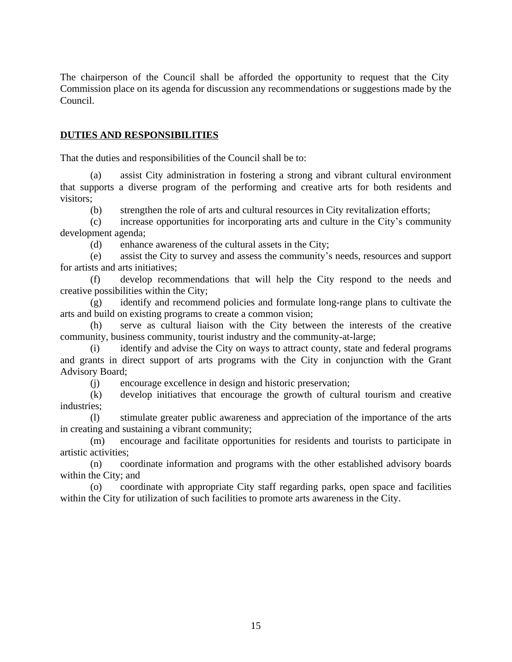The chairperson of the Council shall be afforded the opportunity to request that the City Commission place on its agenda for discussion any recommendations or suggestions made by the Council.

#### **DUTIES AND RESPONSIBILITIES**

That the duties and responsibilities of the Council shall be to:

(a) assist City administration in fostering a strong and vibrant cultural environment that supports a diverse program of the performing and creative arts for both residents and visitors;

(b) strengthen the role of arts and cultural resources in City revitalization efforts;

(c) increase opportunities for incorporating arts and culture in the City's community development agenda;

(d) enhance awareness of the cultural assets in the City;

(e) assist the City to survey and assess the community's needs, resources and support for artists and arts initiatives;

(f) develop recommendations that will help the City respond to the needs and creative possibilities within the City;

(g) identify and recommend policies and formulate long-range plans to cultivate the arts and build on existing programs to create a common vision;

(h) serve as cultural liaison with the City between the interests of the creative community, business community, tourist industry and the community-at-large;

(i) identify and advise the City on ways to attract county, state and federal programs and grants in direct support of arts programs with the City in conjunction with the Grant Advisory Board;

(j) encourage excellence in design and historic preservation;

(k) develop initiatives that encourage the growth of cultural tourism and creative industries;

(l) stimulate greater public awareness and appreciation of the importance of the arts in creating and sustaining a vibrant community;

(m) encourage and facilitate opportunities for residents and tourists to participate in artistic activities;

(n) coordinate information and programs with the other established advisory boards within the City; and

(o) coordinate with appropriate City staff regarding parks, open space and facilities within the City for utilization of such facilities to promote arts awareness in the City.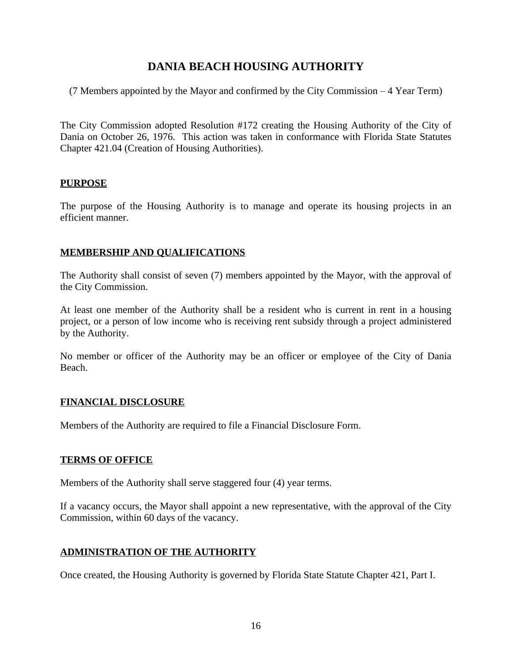## **DANIA BEACH HOUSING AUTHORITY**

(7 Members appointed by the Mayor and confirmed by the City Commission – 4 Year Term)

The City Commission adopted Resolution #172 creating the Housing Authority of the City of Dania on October 26, 1976. This action was taken in conformance with Florida State Statutes Chapter 421.04 (Creation of Housing Authorities).

#### **PURPOSE**

The purpose of the Housing Authority is to manage and operate its housing projects in an efficient manner.

#### **MEMBERSHIP AND QUALIFICATIONS**

The Authority shall consist of seven (7) members appointed by the Mayor, with the approval of the City Commission.

At least one member of the Authority shall be a resident who is current in rent in a housing project, or a person of low income who is receiving rent subsidy through a project administered by the Authority.

No member or officer of the Authority may be an officer or employee of the City of Dania Beach.

#### **FINANCIAL DISCLOSURE**

Members of the Authority are required to file a Financial Disclosure Form.

#### **TERMS OF OFFICE**

Members of the Authority shall serve staggered four (4) year terms.

If a vacancy occurs, the Mayor shall appoint a new representative, with the approval of the City Commission, within 60 days of the vacancy.

#### **ADMINISTRATION OF THE AUTHORITY**

Once created, the Housing Authority is governed by Florida State Statute Chapter 421, Part I.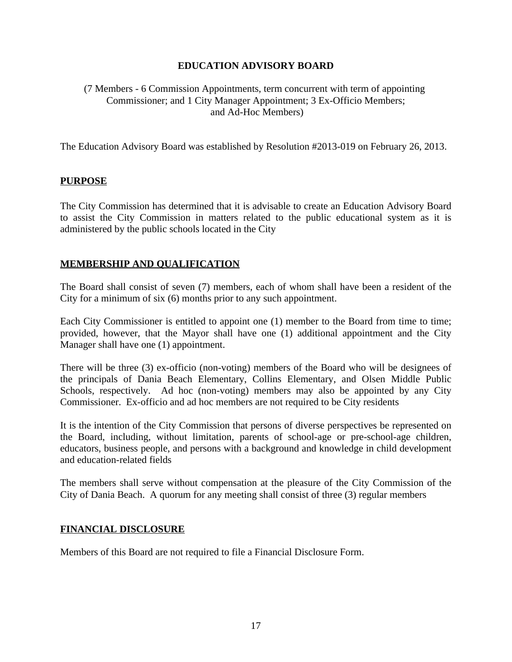#### **EDUCATION ADVISORY BOARD**

#### (7 Members - 6 Commission Appointments, term concurrent with term of appointing Commissioner; and 1 City Manager Appointment; 3 Ex-Officio Members; and Ad-Hoc Members)

The Education Advisory Board was established by Resolution #2013-019 on February 26, 2013.

#### **PURPOSE**

The City Commission has determined that it is advisable to create an Education Advisory Board to assist the City Commission in matters related to the public educational system as it is administered by the public schools located in the City

#### **MEMBERSHIP AND QUALIFICATION**

The Board shall consist of seven (7) members, each of whom shall have been a resident of the City for a minimum of six (6) months prior to any such appointment.

Each City Commissioner is entitled to appoint one (1) member to the Board from time to time; provided, however, that the Mayor shall have one (1) additional appointment and the City Manager shall have one (1) appointment.

There will be three (3) ex-officio (non-voting) members of the Board who will be designees of the principals of Dania Beach Elementary, Collins Elementary, and Olsen Middle Public Schools, respectively. Ad hoc (non-voting) members may also be appointed by any City Commissioner. Ex-officio and ad hoc members are not required to be City residents

It is the intention of the City Commission that persons of diverse perspectives be represented on the Board, including, without limitation, parents of school-age or pre-school-age children, educators, business people, and persons with a background and knowledge in child development and education-related fields

The members shall serve without compensation at the pleasure of the City Commission of the City of Dania Beach. A quorum for any meeting shall consist of three (3) regular members

#### **FINANCIAL DISCLOSURE**

Members of this Board are not required to file a Financial Disclosure Form.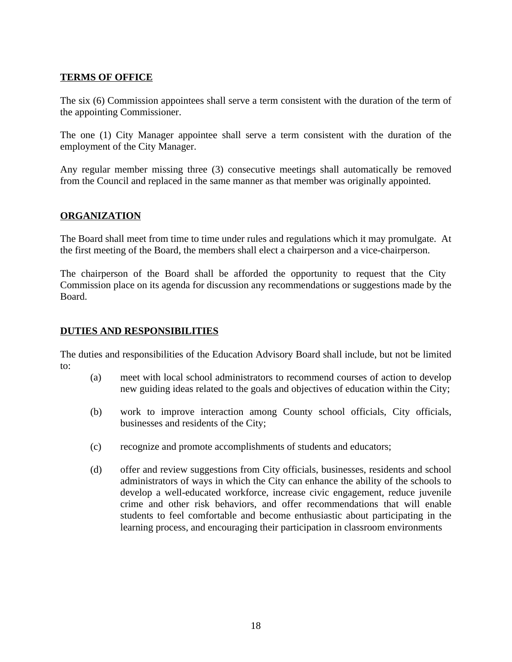#### **TERMS OF OFFICE**

The six (6) Commission appointees shall serve a term consistent with the duration of the term of the appointing Commissioner.

The one (1) City Manager appointee shall serve a term consistent with the duration of the employment of the City Manager.

Any regular member missing three (3) consecutive meetings shall automatically be removed from the Council and replaced in the same manner as that member was originally appointed.

#### **ORGANIZATION**

The Board shall meet from time to time under rules and regulations which it may promulgate. At the first meeting of the Board, the members shall elect a chairperson and a vice-chairperson.

The chairperson of the Board shall be afforded the opportunity to request that the City Commission place on its agenda for discussion any recommendations or suggestions made by the Board.

#### **DUTIES AND RESPONSIBILITIES**

The duties and responsibilities of the Education Advisory Board shall include, but not be limited to:

- (a) meet with local school administrators to recommend courses of action to develop new guiding ideas related to the goals and objectives of education within the City;
- (b) work to improve interaction among County school officials, City officials, businesses and residents of the City;
- (c) recognize and promote accomplishments of students and educators;
- (d) offer and review suggestions from City officials, businesses, residents and school administrators of ways in which the City can enhance the ability of the schools to develop a well-educated workforce, increase civic engagement, reduce juvenile crime and other risk behaviors, and offer recommendations that will enable students to feel comfortable and become enthusiastic about participating in the learning process, and encouraging their participation in classroom environments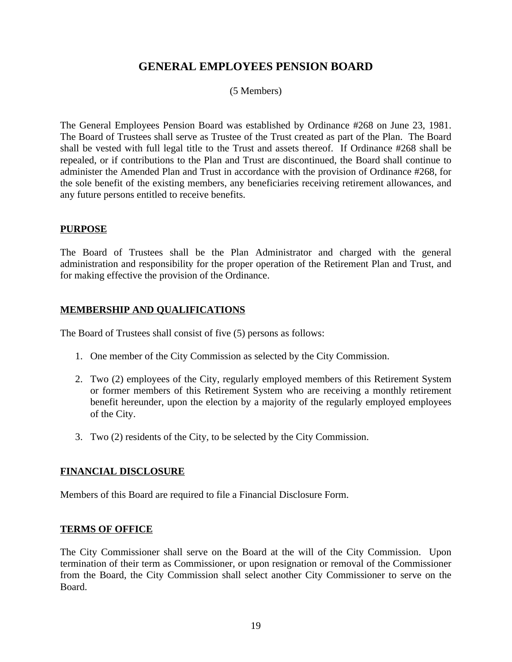## **GENERAL EMPLOYEES PENSION BOARD**

#### (5 Members)

The General Employees Pension Board was established by Ordinance #268 on June 23, 1981. The Board of Trustees shall serve as Trustee of the Trust created as part of the Plan. The Board shall be vested with full legal title to the Trust and assets thereof. If Ordinance #268 shall be repealed, or if contributions to the Plan and Trust are discontinued, the Board shall continue to administer the Amended Plan and Trust in accordance with the provision of Ordinance #268, for the sole benefit of the existing members, any beneficiaries receiving retirement allowances, and any future persons entitled to receive benefits.

#### **PURPOSE**

The Board of Trustees shall be the Plan Administrator and charged with the general administration and responsibility for the proper operation of the Retirement Plan and Trust, and for making effective the provision of the Ordinance.

#### **MEMBERSHIP AND QUALIFICATIONS**

The Board of Trustees shall consist of five (5) persons as follows:

- 1. One member of the City Commission as selected by the City Commission.
- 2. Two (2) employees of the City, regularly employed members of this Retirement System or former members of this Retirement System who are receiving a monthly retirement benefit hereunder, upon the election by a majority of the regularly employed employees of the City.
- 3. Two (2) residents of the City, to be selected by the City Commission.

#### **FINANCIAL DISCLOSURE**

Members of this Board are required to file a Financial Disclosure Form.

#### **TERMS OF OFFICE**

The City Commissioner shall serve on the Board at the will of the City Commission. Upon termination of their term as Commissioner, or upon resignation or removal of the Commissioner from the Board, the City Commission shall select another City Commissioner to serve on the Board.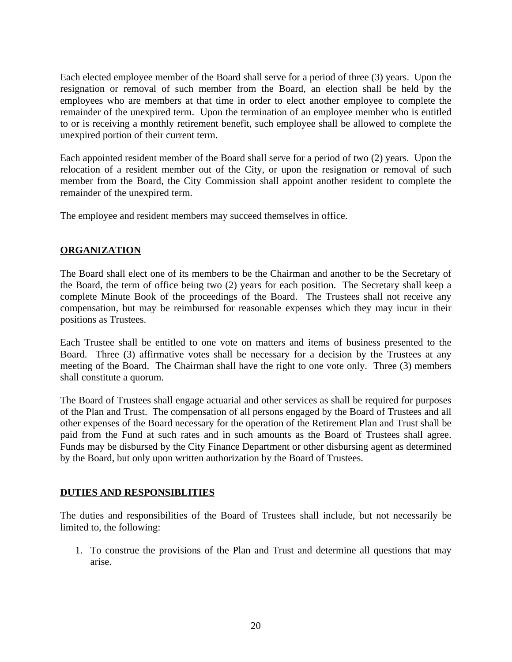Each elected employee member of the Board shall serve for a period of three (3) years. Upon the resignation or removal of such member from the Board, an election shall be held by the employees who are members at that time in order to elect another employee to complete the remainder of the unexpired term. Upon the termination of an employee member who is entitled to or is receiving a monthly retirement benefit, such employee shall be allowed to complete the unexpired portion of their current term.

Each appointed resident member of the Board shall serve for a period of two (2) years. Upon the relocation of a resident member out of the City, or upon the resignation or removal of such member from the Board, the City Commission shall appoint another resident to complete the remainder of the unexpired term.

The employee and resident members may succeed themselves in office.

## **ORGANIZATION**

The Board shall elect one of its members to be the Chairman and another to be the Secretary of the Board, the term of office being two (2) years for each position. The Secretary shall keep a complete Minute Book of the proceedings of the Board. The Trustees shall not receive any compensation, but may be reimbursed for reasonable expenses which they may incur in their positions as Trustees.

Each Trustee shall be entitled to one vote on matters and items of business presented to the Board. Three (3) affirmative votes shall be necessary for a decision by the Trustees at any meeting of the Board. The Chairman shall have the right to one vote only. Three (3) members shall constitute a quorum.

The Board of Trustees shall engage actuarial and other services as shall be required for purposes of the Plan and Trust. The compensation of all persons engaged by the Board of Trustees and all other expenses of the Board necessary for the operation of the Retirement Plan and Trust shall be paid from the Fund at such rates and in such amounts as the Board of Trustees shall agree. Funds may be disbursed by the City Finance Department or other disbursing agent as determined by the Board, but only upon written authorization by the Board of Trustees.

#### **DUTIES AND RESPONSIBLITIES**

The duties and responsibilities of the Board of Trustees shall include, but not necessarily be limited to, the following:

1. To construe the provisions of the Plan and Trust and determine all questions that may arise.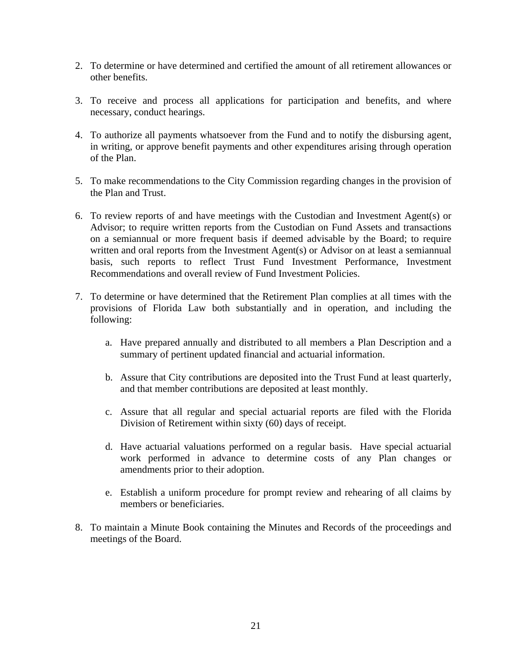- 2. To determine or have determined and certified the amount of all retirement allowances or other benefits.
- 3. To receive and process all applications for participation and benefits, and where necessary, conduct hearings.
- 4. To authorize all payments whatsoever from the Fund and to notify the disbursing agent, in writing, or approve benefit payments and other expenditures arising through operation of the Plan.
- 5. To make recommendations to the City Commission regarding changes in the provision of the Plan and Trust.
- 6. To review reports of and have meetings with the Custodian and Investment Agent(s) or Advisor; to require written reports from the Custodian on Fund Assets and transactions on a semiannual or more frequent basis if deemed advisable by the Board; to require written and oral reports from the Investment Agent(s) or Advisor on at least a semiannual basis, such reports to reflect Trust Fund Investment Performance, Investment Recommendations and overall review of Fund Investment Policies.
- 7. To determine or have determined that the Retirement Plan complies at all times with the provisions of Florida Law both substantially and in operation, and including the following:
	- a. Have prepared annually and distributed to all members a Plan Description and a summary of pertinent updated financial and actuarial information.
	- b. Assure that City contributions are deposited into the Trust Fund at least quarterly, and that member contributions are deposited at least monthly.
	- c. Assure that all regular and special actuarial reports are filed with the Florida Division of Retirement within sixty (60) days of receipt.
	- d. Have actuarial valuations performed on a regular basis. Have special actuarial work performed in advance to determine costs of any Plan changes or amendments prior to their adoption.
	- e. Establish a uniform procedure for prompt review and rehearing of all claims by members or beneficiaries.
- 8. To maintain a Minute Book containing the Minutes and Records of the proceedings and meetings of the Board.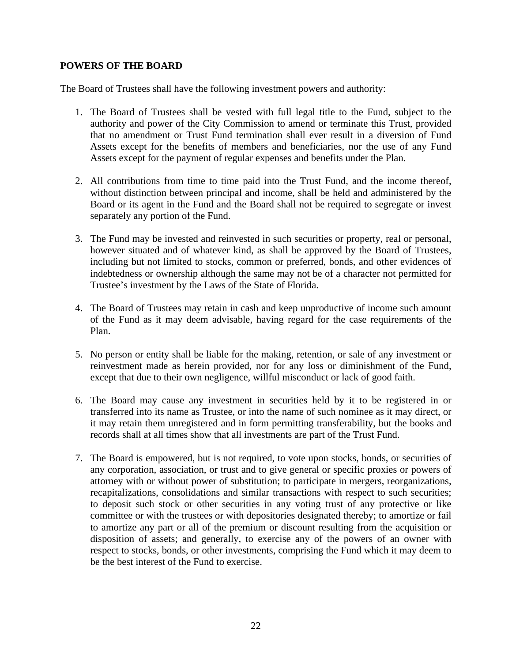#### **POWERS OF THE BOARD**

The Board of Trustees shall have the following investment powers and authority:

- 1. The Board of Trustees shall be vested with full legal title to the Fund, subject to the authority and power of the City Commission to amend or terminate this Trust, provided that no amendment or Trust Fund termination shall ever result in a diversion of Fund Assets except for the benefits of members and beneficiaries, nor the use of any Fund Assets except for the payment of regular expenses and benefits under the Plan.
- 2. All contributions from time to time paid into the Trust Fund, and the income thereof, without distinction between principal and income, shall be held and administered by the Board or its agent in the Fund and the Board shall not be required to segregate or invest separately any portion of the Fund.
- 3. The Fund may be invested and reinvested in such securities or property, real or personal, however situated and of whatever kind, as shall be approved by the Board of Trustees, including but not limited to stocks, common or preferred, bonds, and other evidences of indebtedness or ownership although the same may not be of a character not permitted for Trustee's investment by the Laws of the State of Florida.
- 4. The Board of Trustees may retain in cash and keep unproductive of income such amount of the Fund as it may deem advisable, having regard for the case requirements of the Plan.
- 5. No person or entity shall be liable for the making, retention, or sale of any investment or reinvestment made as herein provided, nor for any loss or diminishment of the Fund, except that due to their own negligence, willful misconduct or lack of good faith.
- 6. The Board may cause any investment in securities held by it to be registered in or transferred into its name as Trustee, or into the name of such nominee as it may direct, or it may retain them unregistered and in form permitting transferability, but the books and records shall at all times show that all investments are part of the Trust Fund.
- 7. The Board is empowered, but is not required, to vote upon stocks, bonds, or securities of any corporation, association, or trust and to give general or specific proxies or powers of attorney with or without power of substitution; to participate in mergers, reorganizations, recapitalizations, consolidations and similar transactions with respect to such securities; to deposit such stock or other securities in any voting trust of any protective or like committee or with the trustees or with depositories designated thereby; to amortize or fail to amortize any part or all of the premium or discount resulting from the acquisition or disposition of assets; and generally, to exercise any of the powers of an owner with respect to stocks, bonds, or other investments, comprising the Fund which it may deem to be the best interest of the Fund to exercise.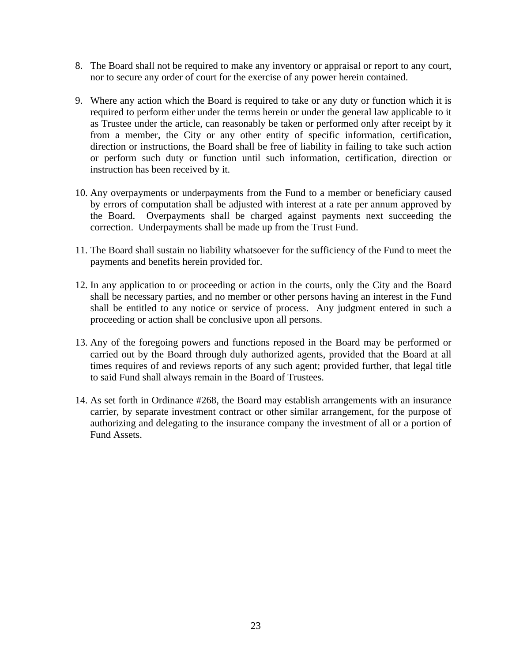- 8. The Board shall not be required to make any inventory or appraisal or report to any court, nor to secure any order of court for the exercise of any power herein contained.
- 9. Where any action which the Board is required to take or any duty or function which it is required to perform either under the terms herein or under the general law applicable to it as Trustee under the article, can reasonably be taken or performed only after receipt by it from a member, the City or any other entity of specific information, certification, direction or instructions, the Board shall be free of liability in failing to take such action or perform such duty or function until such information, certification, direction or instruction has been received by it.
- 10. Any overpayments or underpayments from the Fund to a member or beneficiary caused by errors of computation shall be adjusted with interest at a rate per annum approved by the Board. Overpayments shall be charged against payments next succeeding the correction. Underpayments shall be made up from the Trust Fund.
- 11. The Board shall sustain no liability whatsoever for the sufficiency of the Fund to meet the payments and benefits herein provided for.
- 12. In any application to or proceeding or action in the courts, only the City and the Board shall be necessary parties, and no member or other persons having an interest in the Fund shall be entitled to any notice or service of process. Any judgment entered in such a proceeding or action shall be conclusive upon all persons.
- 13. Any of the foregoing powers and functions reposed in the Board may be performed or carried out by the Board through duly authorized agents, provided that the Board at all times requires of and reviews reports of any such agent; provided further, that legal title to said Fund shall always remain in the Board of Trustees.
- 14. As set forth in Ordinance #268, the Board may establish arrangements with an insurance carrier, by separate investment contract or other similar arrangement, for the purpose of authorizing and delegating to the insurance company the investment of all or a portion of Fund Assets.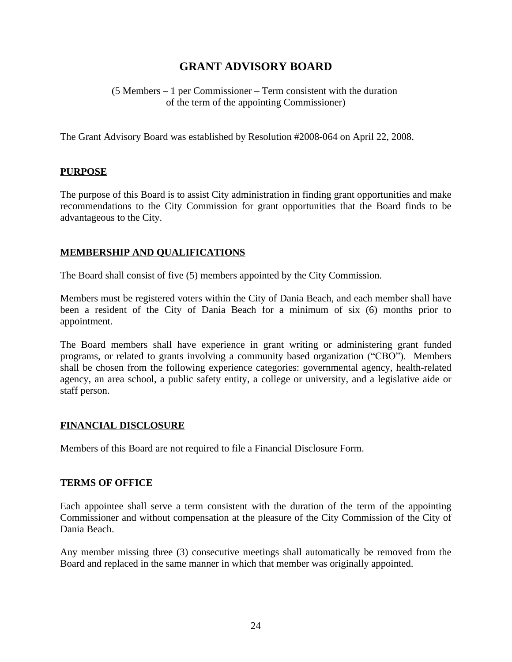## **GRANT ADVISORY BOARD**

(5 Members – 1 per Commissioner – Term consistent with the duration of the term of the appointing Commissioner)

The Grant Advisory Board was established by Resolution #2008-064 on April 22, 2008.

#### **PURPOSE**

The purpose of this Board is to assist City administration in finding grant opportunities and make recommendations to the City Commission for grant opportunities that the Board finds to be advantageous to the City.

#### **MEMBERSHIP AND QUALIFICATIONS**

The Board shall consist of five (5) members appointed by the City Commission.

Members must be registered voters within the City of Dania Beach, and each member shall have been a resident of the City of Dania Beach for a minimum of six (6) months prior to appointment.

The Board members shall have experience in grant writing or administering grant funded programs, or related to grants involving a community based organization ("CBO"). Members shall be chosen from the following experience categories: governmental agency, health-related agency, an area school, a public safety entity, a college or university, and a legislative aide or staff person.

#### **FINANCIAL DISCLOSURE**

Members of this Board are not required to file a Financial Disclosure Form.

#### **TERMS OF OFFICE**

Each appointee shall serve a term consistent with the duration of the term of the appointing Commissioner and without compensation at the pleasure of the City Commission of the City of Dania Beach.

Any member missing three (3) consecutive meetings shall automatically be removed from the Board and replaced in the same manner in which that member was originally appointed.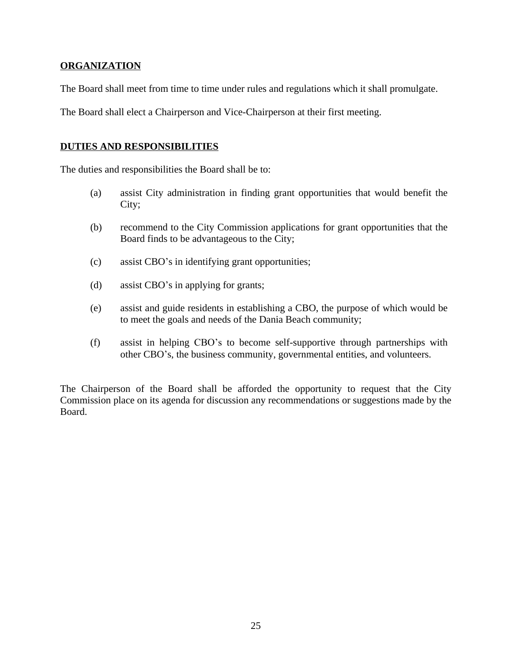#### **ORGANIZATION**

The Board shall meet from time to time under rules and regulations which it shall promulgate.

The Board shall elect a Chairperson and Vice-Chairperson at their first meeting.

#### **DUTIES AND RESPONSIBILITIES**

The duties and responsibilities the Board shall be to:

- (a) assist City administration in finding grant opportunities that would benefit the City;
- (b) recommend to the City Commission applications for grant opportunities that the Board finds to be advantageous to the City;
- (c) assist CBO's in identifying grant opportunities;
- (d) assist CBO's in applying for grants;
- (e) assist and guide residents in establishing a CBO, the purpose of which would be to meet the goals and needs of the Dania Beach community;
- (f) assist in helping CBO's to become self-supportive through partnerships with other CBO's, the business community, governmental entities, and volunteers.

The Chairperson of the Board shall be afforded the opportunity to request that the City Commission place on its agenda for discussion any recommendations or suggestions made by the Board.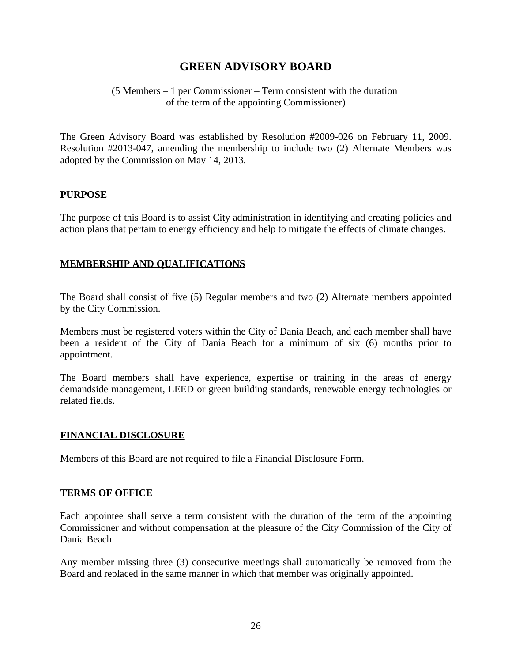## **GREEN ADVISORY BOARD**

#### (5 Members – 1 per Commissioner – Term consistent with the duration of the term of the appointing Commissioner)

The Green Advisory Board was established by Resolution #2009-026 on February 11, 2009. Resolution #2013-047, amending the membership to include two (2) Alternate Members was adopted by the Commission on May 14, 2013.

#### **PURPOSE**

The purpose of this Board is to assist City administration in identifying and creating policies and action plans that pertain to energy efficiency and help to mitigate the effects of climate changes.

#### **MEMBERSHIP AND QUALIFICATIONS**

The Board shall consist of five (5) Regular members and two (2) Alternate members appointed by the City Commission.

Members must be registered voters within the City of Dania Beach, and each member shall have been a resident of the City of Dania Beach for a minimum of six (6) months prior to appointment.

The Board members shall have experience, expertise or training in the areas of energy demandside management, LEED or green building standards, renewable energy technologies or related fields.

#### **FINANCIAL DISCLOSURE**

Members of this Board are not required to file a Financial Disclosure Form.

#### **TERMS OF OFFICE**

Each appointee shall serve a term consistent with the duration of the term of the appointing Commissioner and without compensation at the pleasure of the City Commission of the City of Dania Beach.

Any member missing three (3) consecutive meetings shall automatically be removed from the Board and replaced in the same manner in which that member was originally appointed.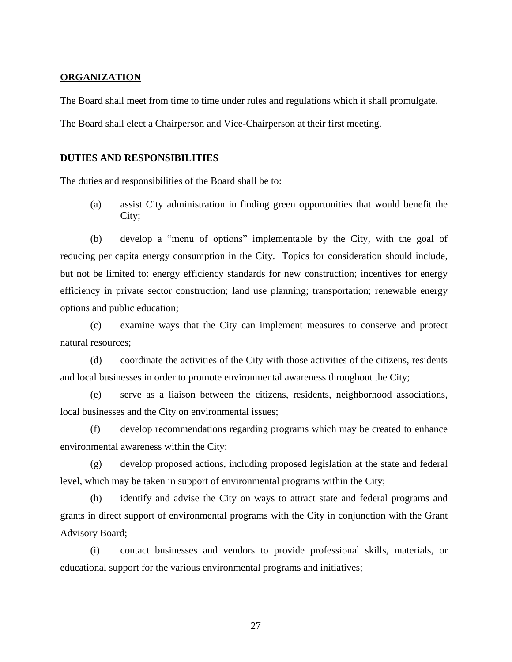#### **ORGANIZATION**

The Board shall meet from time to time under rules and regulations which it shall promulgate.

The Board shall elect a Chairperson and Vice-Chairperson at their first meeting.

#### **DUTIES AND RESPONSIBILITIES**

The duties and responsibilities of the Board shall be to:

(a) assist City administration in finding green opportunities that would benefit the City;

(b) develop a "menu of options" implementable by the City, with the goal of reducing per capita energy consumption in the City. Topics for consideration should include, but not be limited to: energy efficiency standards for new construction; incentives for energy efficiency in private sector construction; land use planning; transportation; renewable energy options and public education;

(c) examine ways that the City can implement measures to conserve and protect natural resources;

(d) coordinate the activities of the City with those activities of the citizens, residents and local businesses in order to promote environmental awareness throughout the City;

(e) serve as a liaison between the citizens, residents, neighborhood associations, local businesses and the City on environmental issues;

(f) develop recommendations regarding programs which may be created to enhance environmental awareness within the City;

(g) develop proposed actions, including proposed legislation at the state and federal level, which may be taken in support of environmental programs within the City;

(h) identify and advise the City on ways to attract state and federal programs and grants in direct support of environmental programs with the City in conjunction with the Grant Advisory Board;

(i) contact businesses and vendors to provide professional skills, materials, or educational support for the various environmental programs and initiatives;

27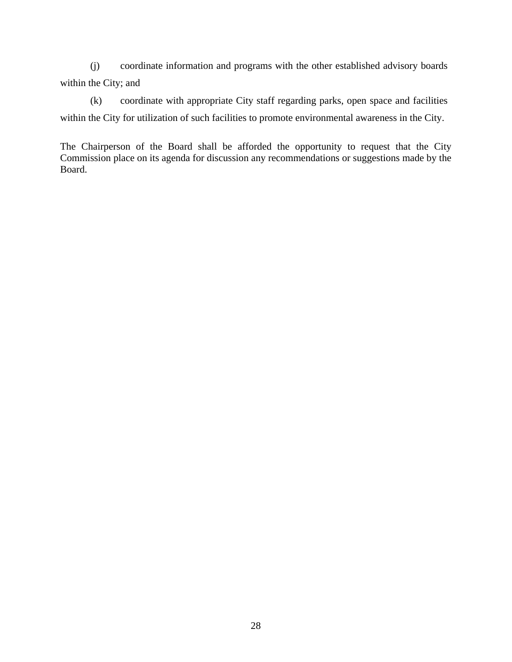(j) coordinate information and programs with the other established advisory boards within the City; and

(k) coordinate with appropriate City staff regarding parks, open space and facilities within the City for utilization of such facilities to promote environmental awareness in the City.

The Chairperson of the Board shall be afforded the opportunity to request that the City Commission place on its agenda for discussion any recommendations or suggestions made by the Board.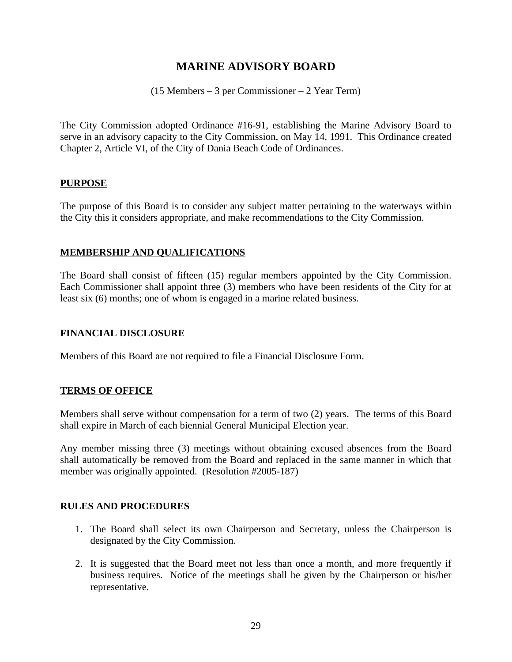## **MARINE ADVISORY BOARD**

(15 Members – 3 per Commissioner – 2 Year Term)

The City Commission adopted Ordinance #16-91, establishing the Marine Advisory Board to serve in an advisory capacity to the City Commission, on May 14, 1991. This Ordinance created Chapter 2, Article VI, of the City of Dania Beach Code of Ordinances.

#### **PURPOSE**

The purpose of this Board is to consider any subject matter pertaining to the waterways within the City this it considers appropriate, and make recommendations to the City Commission.

#### **MEMBERSHIP AND QUALIFICATIONS**

The Board shall consist of fifteen (15) regular members appointed by the City Commission. Each Commissioner shall appoint three (3) members who have been residents of the City for at least six (6) months; one of whom is engaged in a marine related business.

#### **FINANCIAL DISCLOSURE**

Members of this Board are not required to file a Financial Disclosure Form.

#### **TERMS OF OFFICE**

Members shall serve without compensation for a term of two (2) years. The terms of this Board shall expire in March of each biennial General Municipal Election year.

Any member missing three (3) meetings without obtaining excused absences from the Board shall automatically be removed from the Board and replaced in the same manner in which that member was originally appointed. (Resolution #2005-187)

#### **RULES AND PROCEDURES**

- 1. The Board shall select its own Chairperson and Secretary, unless the Chairperson is designated by the City Commission.
- 2. It is suggested that the Board meet not less than once a month, and more frequently if business requires. Notice of the meetings shall be given by the Chairperson or his/her representative.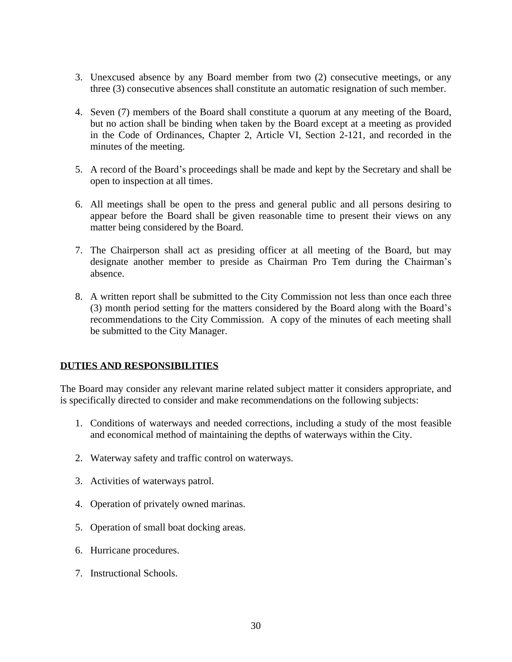- 3. Unexcused absence by any Board member from two (2) consecutive meetings, or any three (3) consecutive absences shall constitute an automatic resignation of such member.
- 4. Seven (7) members of the Board shall constitute a quorum at any meeting of the Board, but no action shall be binding when taken by the Board except at a meeting as provided in the Code of Ordinances, Chapter 2, Article VI, Section 2-121, and recorded in the minutes of the meeting.
- 5. A record of the Board's proceedings shall be made and kept by the Secretary and shall be open to inspection at all times.
- 6. All meetings shall be open to the press and general public and all persons desiring to appear before the Board shall be given reasonable time to present their views on any matter being considered by the Board.
- 7. The Chairperson shall act as presiding officer at all meeting of the Board, but may designate another member to preside as Chairman Pro Tem during the Chairman's absence.
- 8. A written report shall be submitted to the City Commission not less than once each three (3) month period setting for the matters considered by the Board along with the Board's recommendations to the City Commission. A copy of the minutes of each meeting shall be submitted to the City Manager.

#### **DUTIES AND RESPONSIBILITIES**

The Board may consider any relevant marine related subject matter it considers appropriate, and is specifically directed to consider and make recommendations on the following subjects:

- 1. Conditions of waterways and needed corrections, including a study of the most feasible and economical method of maintaining the depths of waterways within the City.
- 2. Waterway safety and traffic control on waterways.
- 3. Activities of waterways patrol.
- 4. Operation of privately owned marinas.
- 5. Operation of small boat docking areas.
- 6. Hurricane procedures.
- 7. Instructional Schools.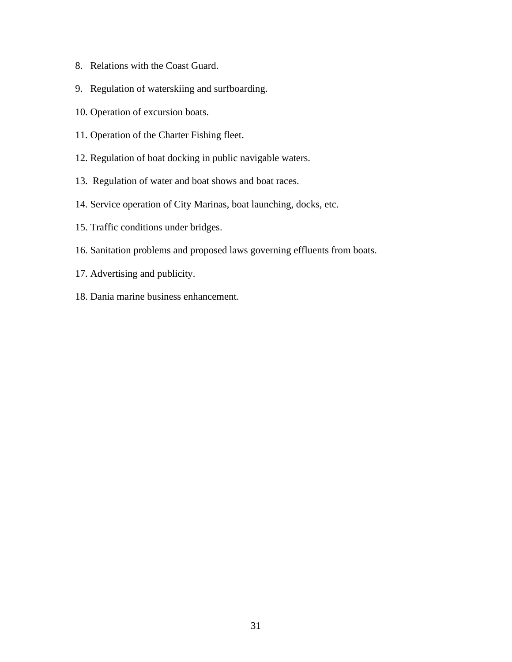- 8. Relations with the Coast Guard.
- 9. Regulation of waterskiing and surfboarding.
- 10. Operation of excursion boats.
- 11. Operation of the Charter Fishing fleet.
- 12. Regulation of boat docking in public navigable waters.
- 13. Regulation of water and boat shows and boat races.
- 14. Service operation of City Marinas, boat launching, docks, etc.
- 15. Traffic conditions under bridges.
- 16. Sanitation problems and proposed laws governing effluents from boats.
- 17. Advertising and publicity.
- 18. Dania marine business enhancement.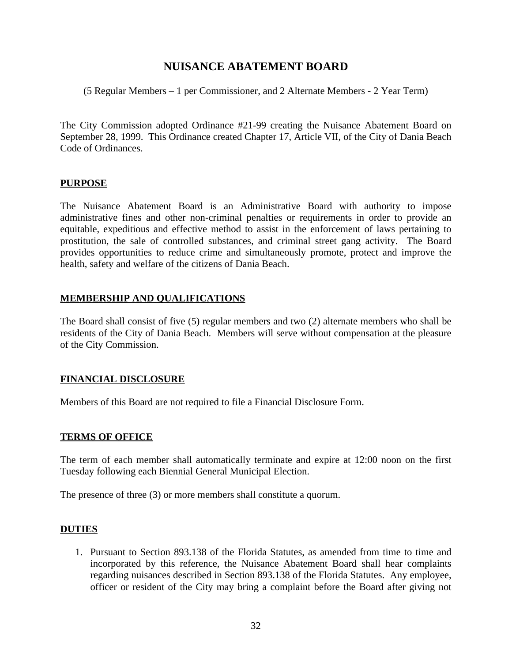## **NUISANCE ABATEMENT BOARD**

(5 Regular Members – 1 per Commissioner, and 2 Alternate Members - 2 Year Term)

The City Commission adopted Ordinance #21-99 creating the Nuisance Abatement Board on September 28, 1999. This Ordinance created Chapter 17, Article VII, of the City of Dania Beach Code of Ordinances.

#### **PURPOSE**

The Nuisance Abatement Board is an Administrative Board with authority to impose administrative fines and other non-criminal penalties or requirements in order to provide an equitable, expeditious and effective method to assist in the enforcement of laws pertaining to prostitution, the sale of controlled substances, and criminal street gang activity. The Board provides opportunities to reduce crime and simultaneously promote, protect and improve the health, safety and welfare of the citizens of Dania Beach.

#### **MEMBERSHIP AND QUALIFICATIONS**

The Board shall consist of five (5) regular members and two (2) alternate members who shall be residents of the City of Dania Beach. Members will serve without compensation at the pleasure of the City Commission.

#### **FINANCIAL DISCLOSURE**

Members of this Board are not required to file a Financial Disclosure Form.

#### **TERMS OF OFFICE**

The term of each member shall automatically terminate and expire at 12:00 noon on the first Tuesday following each Biennial General Municipal Election.

The presence of three (3) or more members shall constitute a quorum.

#### **DUTIES**

1. Pursuant to Section 893.138 of the Florida Statutes, as amended from time to time and incorporated by this reference, the Nuisance Abatement Board shall hear complaints regarding nuisances described in Section 893.138 of the Florida Statutes. Any employee, officer or resident of the City may bring a complaint before the Board after giving not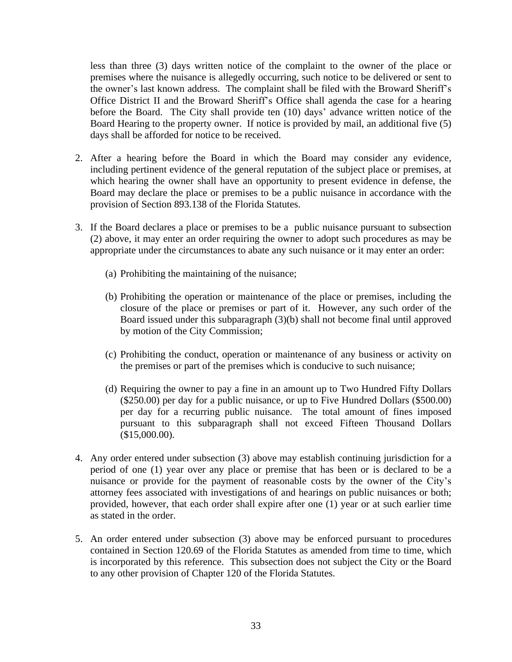less than three (3) days written notice of the complaint to the owner of the place or premises where the nuisance is allegedly occurring, such notice to be delivered or sent to the owner's last known address. The complaint shall be filed with the Broward Sheriff's Office District II and the Broward Sheriff's Office shall agenda the case for a hearing before the Board. The City shall provide ten (10) days' advance written notice of the Board Hearing to the property owner. If notice is provided by mail, an additional five (5) days shall be afforded for notice to be received.

- 2. After a hearing before the Board in which the Board may consider any evidence, including pertinent evidence of the general reputation of the subject place or premises, at which hearing the owner shall have an opportunity to present evidence in defense, the Board may declare the place or premises to be a public nuisance in accordance with the provision of Section 893.138 of the Florida Statutes.
- 3. If the Board declares a place or premises to be a public nuisance pursuant to subsection (2) above, it may enter an order requiring the owner to adopt such procedures as may be appropriate under the circumstances to abate any such nuisance or it may enter an order:
	- (a) Prohibiting the maintaining of the nuisance;
	- (b) Prohibiting the operation or maintenance of the place or premises, including the closure of the place or premises or part of it. However, any such order of the Board issued under this subparagraph (3)(b) shall not become final until approved by motion of the City Commission;
	- (c) Prohibiting the conduct, operation or maintenance of any business or activity on the premises or part of the premises which is conducive to such nuisance;
	- (d) Requiring the owner to pay a fine in an amount up to Two Hundred Fifty Dollars (\$250.00) per day for a public nuisance, or up to Five Hundred Dollars (\$500.00) per day for a recurring public nuisance. The total amount of fines imposed pursuant to this subparagraph shall not exceed Fifteen Thousand Dollars (\$15,000.00).
- 4. Any order entered under subsection (3) above may establish continuing jurisdiction for a period of one (1) year over any place or premise that has been or is declared to be a nuisance or provide for the payment of reasonable costs by the owner of the City's attorney fees associated with investigations of and hearings on public nuisances or both; provided, however, that each order shall expire after one (1) year or at such earlier time as stated in the order.
- 5. An order entered under subsection (3) above may be enforced pursuant to procedures contained in Section 120.69 of the Florida Statutes as amended from time to time, which is incorporated by this reference. This subsection does not subject the City or the Board to any other provision of Chapter 120 of the Florida Statutes.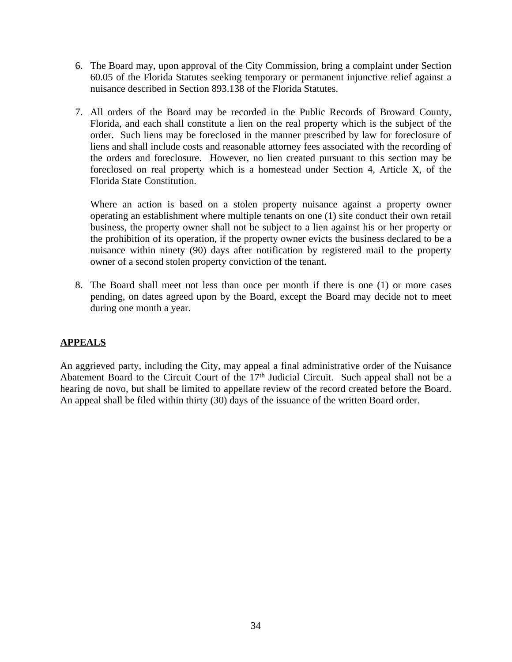- 6. The Board may, upon approval of the City Commission, bring a complaint under Section 60.05 of the Florida Statutes seeking temporary or permanent injunctive relief against a nuisance described in Section 893.138 of the Florida Statutes.
- 7. All orders of the Board may be recorded in the Public Records of Broward County, Florida, and each shall constitute a lien on the real property which is the subject of the order. Such liens may be foreclosed in the manner prescribed by law for foreclosure of liens and shall include costs and reasonable attorney fees associated with the recording of the orders and foreclosure. However, no lien created pursuant to this section may be foreclosed on real property which is a homestead under Section 4, Article X, of the Florida State Constitution.

Where an action is based on a stolen property nuisance against a property owner operating an establishment where multiple tenants on one (1) site conduct their own retail business, the property owner shall not be subject to a lien against his or her property or the prohibition of its operation, if the property owner evicts the business declared to be a nuisance within ninety (90) days after notification by registered mail to the property owner of a second stolen property conviction of the tenant.

8. The Board shall meet not less than once per month if there is one (1) or more cases pending, on dates agreed upon by the Board, except the Board may decide not to meet during one month a year.

## **APPEALS**

An aggrieved party, including the City, may appeal a final administrative order of the Nuisance Abatement Board to the Circuit Court of the 17<sup>th</sup> Judicial Circuit. Such appeal shall not be a hearing de novo, but shall be limited to appellate review of the record created before the Board. An appeal shall be filed within thirty (30) days of the issuance of the written Board order.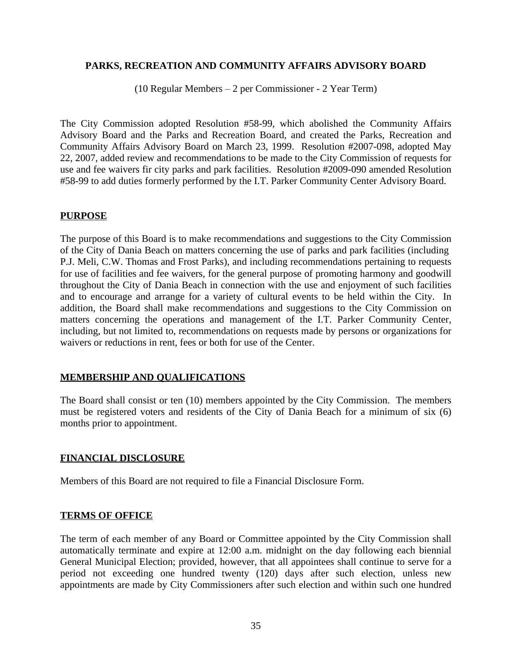#### **PARKS, RECREATION AND COMMUNITY AFFAIRS ADVISORY BOARD**

(10 Regular Members – 2 per Commissioner - 2 Year Term)

The City Commission adopted Resolution #58-99, which abolished the Community Affairs Advisory Board and the Parks and Recreation Board, and created the Parks, Recreation and Community Affairs Advisory Board on March 23, 1999. Resolution #2007-098, adopted May 22, 2007, added review and recommendations to be made to the City Commission of requests for use and fee waivers fir city parks and park facilities. Resolution #2009-090 amended Resolution #58-99 to add duties formerly performed by the I.T. Parker Community Center Advisory Board.

#### **PURPOSE**

The purpose of this Board is to make recommendations and suggestions to the City Commission of the City of Dania Beach on matters concerning the use of parks and park facilities (including P.J. Meli, C.W. Thomas and Frost Parks), and including recommendations pertaining to requests for use of facilities and fee waivers, for the general purpose of promoting harmony and goodwill throughout the City of Dania Beach in connection with the use and enjoyment of such facilities and to encourage and arrange for a variety of cultural events to be held within the City. In addition, the Board shall make recommendations and suggestions to the City Commission on matters concerning the operations and management of the I.T. Parker Community Center, including, but not limited to, recommendations on requests made by persons or organizations for waivers or reductions in rent, fees or both for use of the Center.

#### **MEMBERSHIP AND QUALIFICATIONS**

The Board shall consist or ten (10) members appointed by the City Commission. The members must be registered voters and residents of the City of Dania Beach for a minimum of six (6) months prior to appointment.

#### **FINANCIAL DISCLOSURE**

Members of this Board are not required to file a Financial Disclosure Form.

#### **TERMS OF OFFICE**

The term of each member of any Board or Committee appointed by the City Commission shall automatically terminate and expire at 12:00 a.m. midnight on the day following each biennial General Municipal Election; provided, however, that all appointees shall continue to serve for a period not exceeding one hundred twenty (120) days after such election, unless new appointments are made by City Commissioners after such election and within such one hundred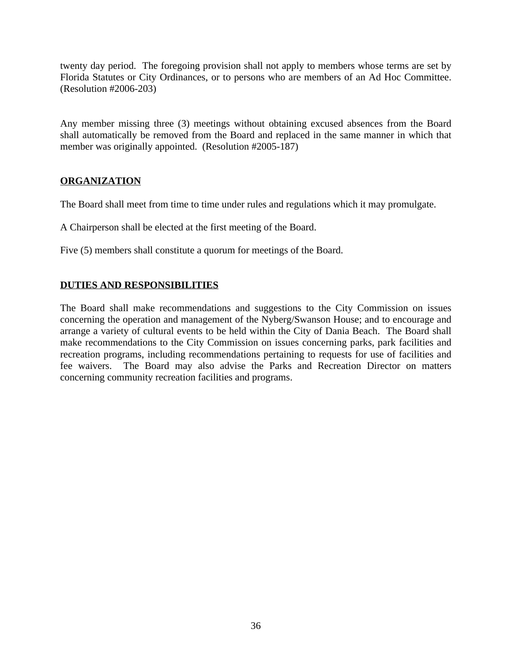twenty day period. The foregoing provision shall not apply to members whose terms are set by Florida Statutes or City Ordinances, or to persons who are members of an Ad Hoc Committee. (Resolution #2006-203)

Any member missing three (3) meetings without obtaining excused absences from the Board shall automatically be removed from the Board and replaced in the same manner in which that member was originally appointed. (Resolution #2005-187)

#### **ORGANIZATION**

The Board shall meet from time to time under rules and regulations which it may promulgate.

A Chairperson shall be elected at the first meeting of the Board.

Five (5) members shall constitute a quorum for meetings of the Board.

## **DUTIES AND RESPONSIBILITIES**

The Board shall make recommendations and suggestions to the City Commission on issues concerning the operation and management of the Nyberg/Swanson House; and to encourage and arrange a variety of cultural events to be held within the City of Dania Beach. The Board shall make recommendations to the City Commission on issues concerning parks, park facilities and recreation programs, including recommendations pertaining to requests for use of facilities and fee waivers. The Board may also advise the Parks and Recreation Director on matters concerning community recreation facilities and programs.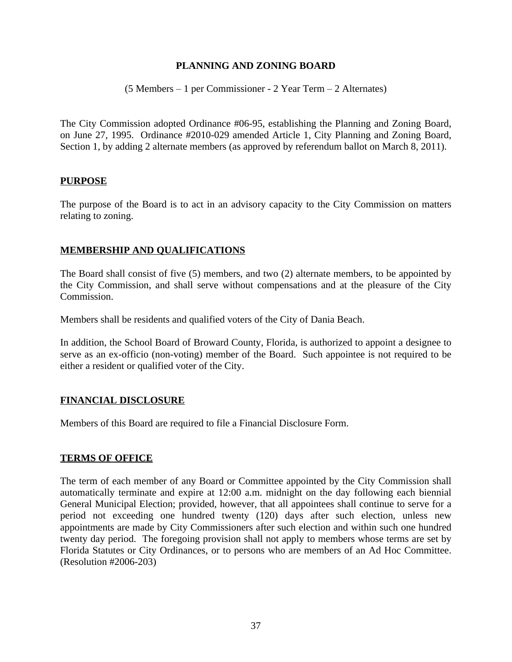#### **PLANNING AND ZONING BOARD**

#### (5 Members – 1 per Commissioner - 2 Year Term – 2 Alternates)

The City Commission adopted Ordinance #06-95, establishing the Planning and Zoning Board, on June 27, 1995. Ordinance #2010-029 amended Article 1, City Planning and Zoning Board, Section 1, by adding 2 alternate members (as approved by referendum ballot on March 8, 2011).

#### **PURPOSE**

The purpose of the Board is to act in an advisory capacity to the City Commission on matters relating to zoning.

#### **MEMBERSHIP AND QUALIFICATIONS**

The Board shall consist of five (5) members, and two (2) alternate members, to be appointed by the City Commission, and shall serve without compensations and at the pleasure of the City Commission.

Members shall be residents and qualified voters of the City of Dania Beach.

In addition, the School Board of Broward County, Florida, is authorized to appoint a designee to serve as an ex-officio (non-voting) member of the Board. Such appointee is not required to be either a resident or qualified voter of the City.

#### **FINANCIAL DISCLOSURE**

Members of this Board are required to file a Financial Disclosure Form.

#### **TERMS OF OFFICE**

The term of each member of any Board or Committee appointed by the City Commission shall automatically terminate and expire at 12:00 a.m. midnight on the day following each biennial General Municipal Election; provided, however, that all appointees shall continue to serve for a period not exceeding one hundred twenty (120) days after such election, unless new appointments are made by City Commissioners after such election and within such one hundred twenty day period. The foregoing provision shall not apply to members whose terms are set by Florida Statutes or City Ordinances, or to persons who are members of an Ad Hoc Committee. (Resolution #2006-203)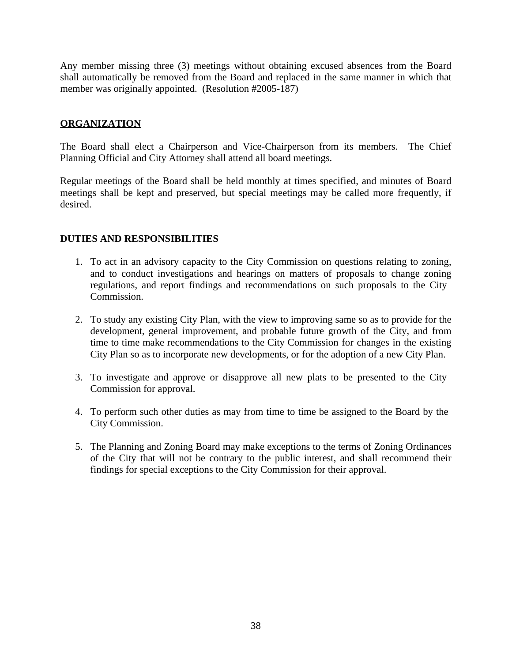Any member missing three (3) meetings without obtaining excused absences from the Board shall automatically be removed from the Board and replaced in the same manner in which that member was originally appointed. (Resolution #2005-187)

#### **ORGANIZATION**

The Board shall elect a Chairperson and Vice-Chairperson from its members. The Chief Planning Official and City Attorney shall attend all board meetings.

Regular meetings of the Board shall be held monthly at times specified, and minutes of Board meetings shall be kept and preserved, but special meetings may be called more frequently, if desired.

#### **DUTIES AND RESPONSIBILITIES**

- 1. To act in an advisory capacity to the City Commission on questions relating to zoning, and to conduct investigations and hearings on matters of proposals to change zoning regulations, and report findings and recommendations on such proposals to the City Commission.
- 2. To study any existing City Plan, with the view to improving same so as to provide for the development, general improvement, and probable future growth of the City, and from time to time make recommendations to the City Commission for changes in the existing City Plan so as to incorporate new developments, or for the adoption of a new City Plan.
- 3. To investigate and approve or disapprove all new plats to be presented to the City Commission for approval.
- 4. To perform such other duties as may from time to time be assigned to the Board by the City Commission.
- 5. The Planning and Zoning Board may make exceptions to the terms of Zoning Ordinances of the City that will not be contrary to the public interest, and shall recommend their findings for special exceptions to the City Commission for their approval.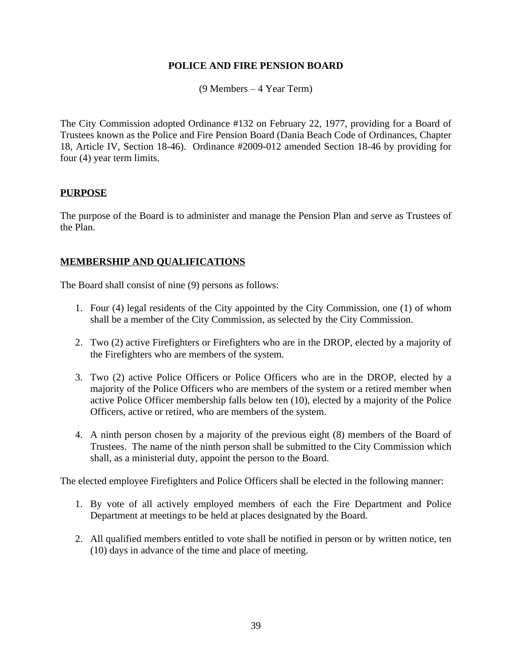#### **POLICE AND FIRE PENSION BOARD**

(9 Members – 4 Year Term)

The City Commission adopted Ordinance #132 on February 22, 1977, providing for a Board of Trustees known as the Police and Fire Pension Board (Dania Beach Code of Ordinances, Chapter 18, Article IV, Section 18-46). Ordinance #2009-012 amended Section 18-46 by providing for four (4) year term limits.

#### **PURPOSE**

The purpose of the Board is to administer and manage the Pension Plan and serve as Trustees of the Plan.

#### **MEMBERSHIP AND QUALIFICATIONS**

The Board shall consist of nine (9) persons as follows:

- 1. Four (4) legal residents of the City appointed by the City Commission, one (1) of whom shall be a member of the City Commission, as selected by the City Commission.
- 2. Two (2) active Firefighters or Firefighters who are in the DROP, elected by a majority of the Firefighters who are members of the system.
- 3. Two (2) active Police Officers or Police Officers who are in the DROP, elected by a majority of the Police Officers who are members of the system or a retired member when active Police Officer membership falls below ten (10), elected by a majority of the Police Officers, active or retired, who are members of the system.
- 4. A ninth person chosen by a majority of the previous eight (8) members of the Board of Trustees. The name of the ninth person shall be submitted to the City Commission which shall, as a ministerial duty, appoint the person to the Board.

The elected employee Firefighters and Police Officers shall be elected in the following manner:

- 1. By vote of all actively employed members of each the Fire Department and Police Department at meetings to be held at places designated by the Board.
- 2. All qualified members entitled to vote shall be notified in person or by written notice, ten (10) days in advance of the time and place of meeting.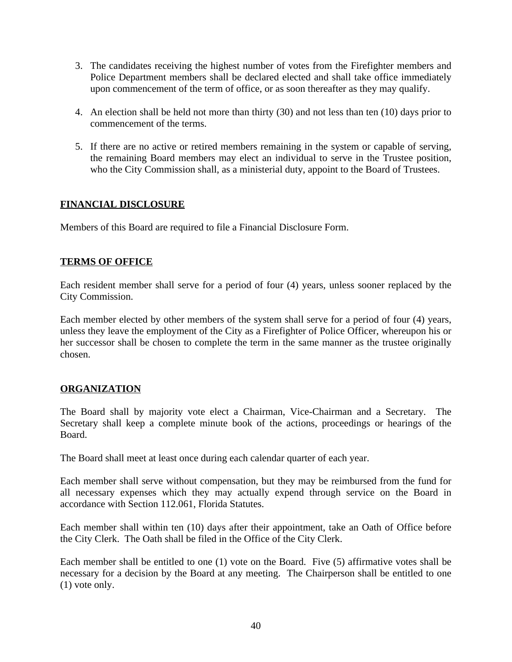- 3. The candidates receiving the highest number of votes from the Firefighter members and Police Department members shall be declared elected and shall take office immediately upon commencement of the term of office, or as soon thereafter as they may qualify.
- 4. An election shall be held not more than thirty (30) and not less than ten (10) days prior to commencement of the terms.
- 5. If there are no active or retired members remaining in the system or capable of serving, the remaining Board members may elect an individual to serve in the Trustee position, who the City Commission shall, as a ministerial duty, appoint to the Board of Trustees.

#### **FINANCIAL DISCLOSURE**

Members of this Board are required to file a Financial Disclosure Form.

#### **TERMS OF OFFICE**

Each resident member shall serve for a period of four (4) years, unless sooner replaced by the City Commission.

Each member elected by other members of the system shall serve for a period of four (4) years, unless they leave the employment of the City as a Firefighter of Police Officer, whereupon his or her successor shall be chosen to complete the term in the same manner as the trustee originally chosen.

#### **ORGANIZATION**

The Board shall by majority vote elect a Chairman, Vice-Chairman and a Secretary. The Secretary shall keep a complete minute book of the actions, proceedings or hearings of the Board.

The Board shall meet at least once during each calendar quarter of each year.

Each member shall serve without compensation, but they may be reimbursed from the fund for all necessary expenses which they may actually expend through service on the Board in accordance with Section 112.061, Florida Statutes.

Each member shall within ten (10) days after their appointment, take an Oath of Office before the City Clerk. The Oath shall be filed in the Office of the City Clerk.

Each member shall be entitled to one (1) vote on the Board. Five (5) affirmative votes shall be necessary for a decision by the Board at any meeting. The Chairperson shall be entitled to one (1) vote only.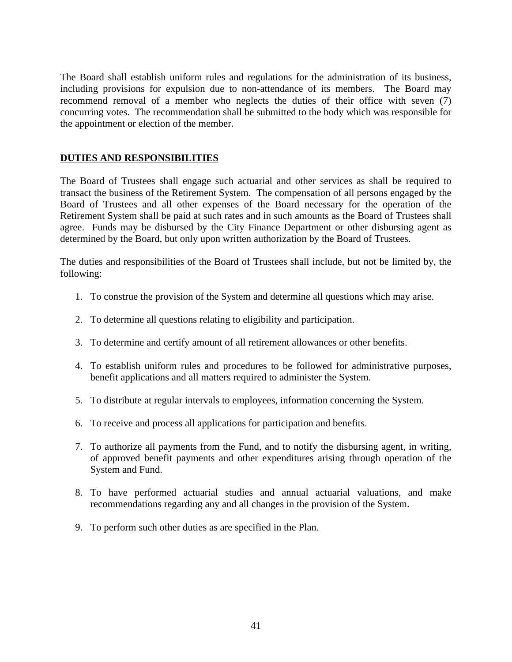The Board shall establish uniform rules and regulations for the administration of its business, including provisions for expulsion due to non-attendance of its members. The Board may recommend removal of a member who neglects the duties of their office with seven (7) concurring votes. The recommendation shall be submitted to the body which was responsible for the appointment or election of the member.

#### **DUTIES AND RESPONSIBILITIES**

The Board of Trustees shall engage such actuarial and other services as shall be required to transact the business of the Retirement System. The compensation of all persons engaged by the Board of Trustees and all other expenses of the Board necessary for the operation of the Retirement System shall be paid at such rates and in such amounts as the Board of Trustees shall agree. Funds may be disbursed by the City Finance Department or other disbursing agent as determined by the Board, but only upon written authorization by the Board of Trustees.

The duties and responsibilities of the Board of Trustees shall include, but not be limited by, the following:

- 1. To construe the provision of the System and determine all questions which may arise.
- 2. To determine all questions relating to eligibility and participation.
- 3. To determine and certify amount of all retirement allowances or other benefits.
- 4. To establish uniform rules and procedures to be followed for administrative purposes, benefit applications and all matters required to administer the System.
- 5. To distribute at regular intervals to employees, information concerning the System.
- 6. To receive and process all applications for participation and benefits.
- 7. To authorize all payments from the Fund, and to notify the disbursing agent, in writing, of approved benefit payments and other expenditures arising through operation of the System and Fund.
- 8. To have performed actuarial studies and annual actuarial valuations, and make recommendations regarding any and all changes in the provision of the System.
- 9. To perform such other duties as are specified in the Plan.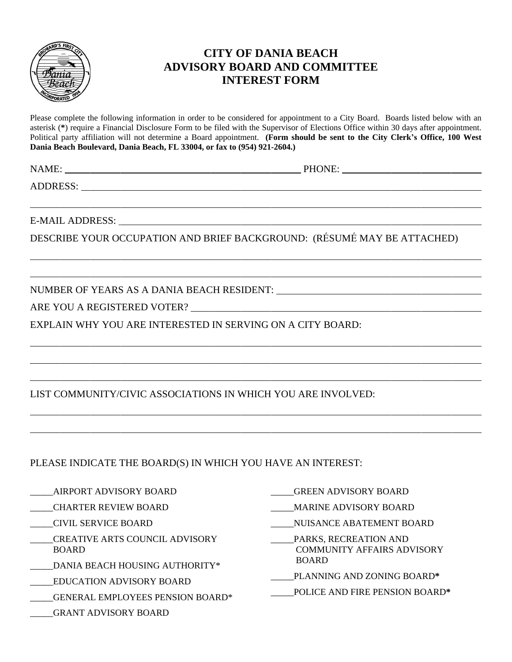

## **CITY OF DANIA BEACH ADVISORY BOARD AND COMMITTEE INTEREST FORM**

Please complete the following information in order to be considered for appointment to a City Board. Boards listed below with an asterisk (**\***) require a Financial Disclosure Form to be filed with the Supervisor of Elections Office within 30 days after appointment. Political party affiliation will not determine a Board appointment. **(Form should be sent to the City Clerk's Office, 100 West Dania Beach Boulevard, Dania Beach, FL 33004, or fax to (954) 921-2604.)**

 $\overline{a}$ 

 $\overline{a}$ 

 $\overline{a}$ 

 $\overline{a}$ 

 $\overline{a}$ 

 $\overline{a}$ 

 $\overline{a}$ 

 $\overline{a}$ 

NAME: PHONE:

ADDRESS: New York Contract the Contract of the Contract of the Contract of the Contract of the Contract of the Contract of the Contract of the Contract of the Contract of the Contract of the Contract of the Contract of the

E-MAIL ADDRESS:

DESCRIBE YOUR OCCUPATION AND BRIEF BACKGROUND: (RÉSUMÉ MAY BE ATTACHED)

NUMBER OF YEARS AS A DANIA BEACH RESIDENT:

ARE YOU A REGISTERED VOTER?

EXPLAIN WHY YOU ARE INTERESTED IN SERVING ON A CITY BOARD:

LIST COMMUNITY/CIVIC ASSOCIATIONS IN WHICH YOU ARE INVOLVED:

PLEASE INDICATE THE BOARD(S) IN WHICH YOU HAVE AN INTEREST:

\_\_\_\_\_AIRPORT ADVISORY BOARD

- \_\_\_\_\_CHARTER REVIEW BOARD
- \_\_\_\_\_CIVIL SERVICE BOARD
- \_\_\_\_\_CREATIVE ARTS COUNCIL ADVISORY BOARD
- \_\_\_\_\_DANIA BEACH HOUSING AUTHORITY\*
- \_\_\_\_\_EDUCATION ADVISORY BOARD
- \_\_\_\_\_GENERAL EMPLOYEES PENSION BOARD\*
- \_\_\_\_\_GRANT ADVISORY BOARD
- \_\_\_\_\_GREEN ADVISORY BOARD
- \_\_\_\_\_MARINE ADVISORY BOARD
- \_\_\_\_\_NUISANCE ABATEMENT BOARD
- \_\_\_\_\_PARKS, RECREATION AND COMMUNITY AFFAIRS ADVISORY BOARD
- \_\_\_\_\_PLANNING AND ZONING BOARD**\***
- \_\_\_\_\_POLICE AND FIRE PENSION BOARD**\***